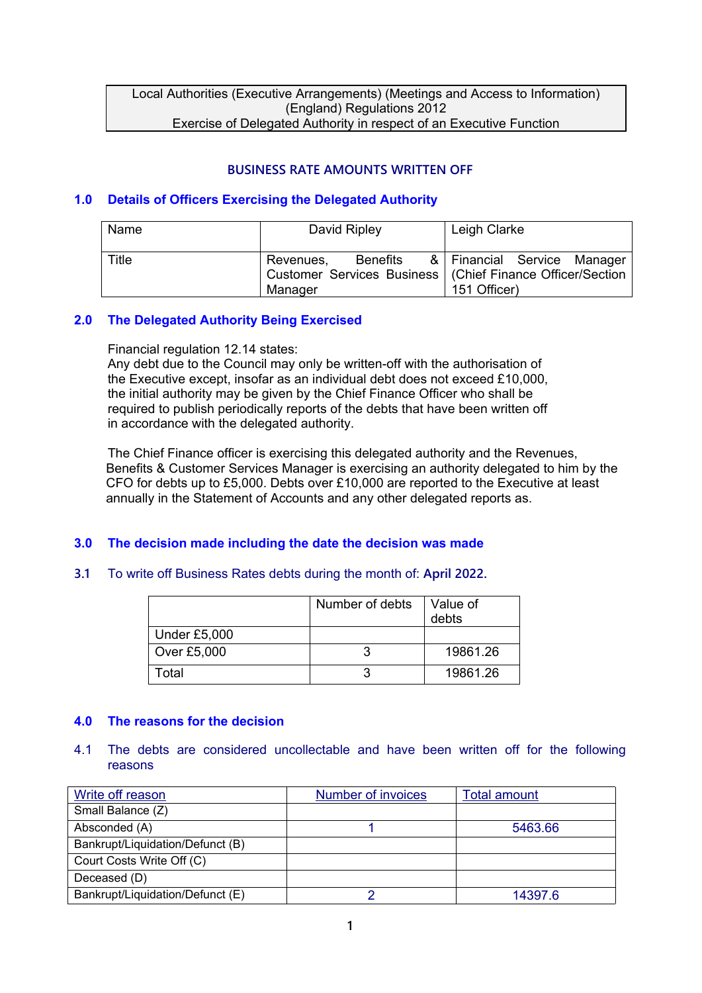Local Authorities (Executive Arrangements) (Meetings and Access to Information) (England) Regulations 2012 Exercise of Delegated Authority in respect of an Executive Function

# **BUSINESS RATE AMOUNTS WRITTEN OFF**

## **1.0 Details of Officers Exercising the Delegated Authority**

| Name  | David Ripley                     | Leigh Clarke                                                                                               |
|-------|----------------------------------|------------------------------------------------------------------------------------------------------------|
| Title | Benefits<br>Revenues,<br>Manager | & Financial Service Manager<br>Customer Services Business   (Chief Finance Officer/Section<br>151 Officer) |

## **2.0 The Delegated Authority Being Exercised**

Financial regulation 12.14 states:

Any debt due to the Council may only be written-off with the authorisation of the Executive except, insofar as an individual debt does not exceed £10,000, the initial authority may be given by the Chief Finance Officer who shall be required to publish periodically reports of the debts that have been written off in accordance with the delegated authority.

The Chief Finance officer is exercising this delegated authority and the Revenues, Benefits & Customer Services Manager is exercising an authority delegated to him by the CFO for debts up to £5,000. Debts over £10,000 are reported to the Executive at least annually in the Statement of Accounts and any other delegated reports as.

## **3.0 The decision made including the date the decision was made**

#### **3.1** To write off Business Rates debts during the month of: **April 2022.**

|              | Number of debts | Value of<br>debts |
|--------------|-----------------|-------------------|
| Under £5,000 |                 |                   |
| Over £5,000  |                 | 19861.26          |
| Гоtal        |                 | 19861.26          |

## **4.0 The reasons for the decision**

#### 4.1 The debts are considered uncollectable and have been written off for the following reasons

| Write off reason                 | Number of invoices | <b>Total amount</b> |
|----------------------------------|--------------------|---------------------|
| Small Balance (Z)                |                    |                     |
| Absconded (A)                    |                    | 5463.66             |
| Bankrupt/Liquidation/Defunct (B) |                    |                     |
| Court Costs Write Off (C)        |                    |                     |
| Deceased (D)                     |                    |                     |
| Bankrupt/Liquidation/Defunct (E) |                    | 14397.6             |